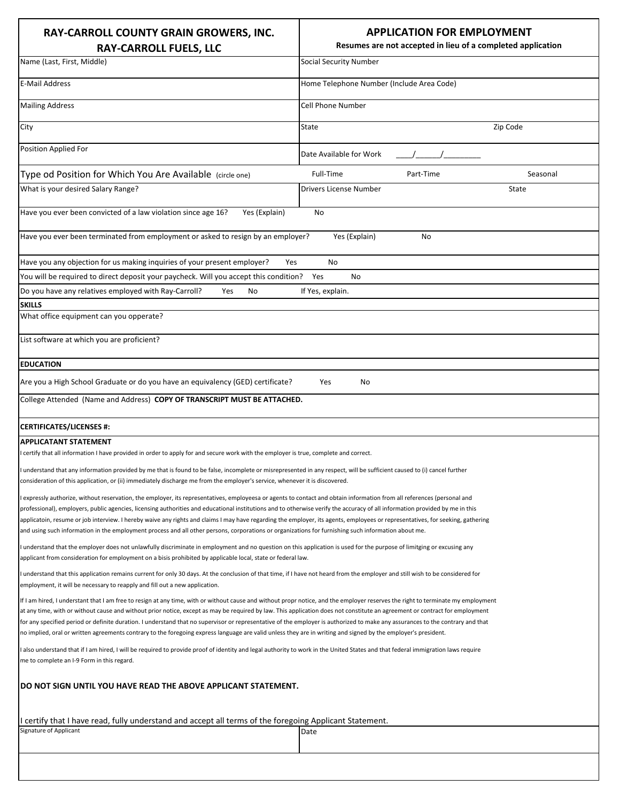| RAY-CARROLL COUNTY GRAIN GROWERS, INC.<br><b>RAY-CARROLL FUELS, LLC</b>                                                                                                                                                                                                                                                                                                                                                                                                                                                                                                                                                                                                                                             | <b>APPLICATION FOR EMPLOYMENT</b><br>Resumes are not accepted in lieu of a completed application |          |  |
|---------------------------------------------------------------------------------------------------------------------------------------------------------------------------------------------------------------------------------------------------------------------------------------------------------------------------------------------------------------------------------------------------------------------------------------------------------------------------------------------------------------------------------------------------------------------------------------------------------------------------------------------------------------------------------------------------------------------|--------------------------------------------------------------------------------------------------|----------|--|
| Name (Last, First, Middle)                                                                                                                                                                                                                                                                                                                                                                                                                                                                                                                                                                                                                                                                                          | <b>Social Security Number</b>                                                                    |          |  |
| <b>E-Mail Address</b>                                                                                                                                                                                                                                                                                                                                                                                                                                                                                                                                                                                                                                                                                               | Home Telephone Number (Include Area Code)                                                        |          |  |
| <b>Mailing Address</b>                                                                                                                                                                                                                                                                                                                                                                                                                                                                                                                                                                                                                                                                                              | <b>Cell Phone Number</b>                                                                         |          |  |
| City                                                                                                                                                                                                                                                                                                                                                                                                                                                                                                                                                                                                                                                                                                                | State<br>Zip Code                                                                                |          |  |
| <b>Position Applied For</b>                                                                                                                                                                                                                                                                                                                                                                                                                                                                                                                                                                                                                                                                                         | Date Available for Work                                                                          |          |  |
| Type od Position for Which You Are Available (circle one)                                                                                                                                                                                                                                                                                                                                                                                                                                                                                                                                                                                                                                                           | Full-Time<br>Part-Time                                                                           | Seasonal |  |
| What is your desired Salary Range?                                                                                                                                                                                                                                                                                                                                                                                                                                                                                                                                                                                                                                                                                  | Drivers License Number                                                                           | State    |  |
|                                                                                                                                                                                                                                                                                                                                                                                                                                                                                                                                                                                                                                                                                                                     |                                                                                                  |          |  |
| Yes (Explain)<br>Have you ever been convicted of a law violation since age 16?                                                                                                                                                                                                                                                                                                                                                                                                                                                                                                                                                                                                                                      | No                                                                                               |          |  |
| Have you ever been terminated from employment or asked to resign by an employer?<br>Yes (Explain)<br>No                                                                                                                                                                                                                                                                                                                                                                                                                                                                                                                                                                                                             |                                                                                                  |          |  |
| Have you any objection for us making inquiries of your present employer?<br>Yes<br>No                                                                                                                                                                                                                                                                                                                                                                                                                                                                                                                                                                                                                               |                                                                                                  |          |  |
| You will be required to direct deposit your paycheck. Will you accept this condition? Yes<br><b>No</b>                                                                                                                                                                                                                                                                                                                                                                                                                                                                                                                                                                                                              |                                                                                                  |          |  |
| Do you have any relatives employed with Ray-Carroll?<br>Yes<br>No                                                                                                                                                                                                                                                                                                                                                                                                                                                                                                                                                                                                                                                   | If Yes, explain.                                                                                 |          |  |
| <b>SKILLS</b>                                                                                                                                                                                                                                                                                                                                                                                                                                                                                                                                                                                                                                                                                                       |                                                                                                  |          |  |
| What office equipment can you opperate?                                                                                                                                                                                                                                                                                                                                                                                                                                                                                                                                                                                                                                                                             |                                                                                                  |          |  |
| List software at which you are proficient?                                                                                                                                                                                                                                                                                                                                                                                                                                                                                                                                                                                                                                                                          |                                                                                                  |          |  |
| <b>EDUCATION</b>                                                                                                                                                                                                                                                                                                                                                                                                                                                                                                                                                                                                                                                                                                    |                                                                                                  |          |  |
| Are you a High School Graduate or do you have an equivalency (GED) certificate?                                                                                                                                                                                                                                                                                                                                                                                                                                                                                                                                                                                                                                     | Yes<br>No                                                                                        |          |  |
| College Attended (Name and Address) COPY OF TRANSCRIPT MUST BE ATTACHED.                                                                                                                                                                                                                                                                                                                                                                                                                                                                                                                                                                                                                                            |                                                                                                  |          |  |
| <b>CERTIFICATES/LICENSES #:</b>                                                                                                                                                                                                                                                                                                                                                                                                                                                                                                                                                                                                                                                                                     |                                                                                                  |          |  |
| <b>APPLICATANT STATEMENT</b>                                                                                                                                                                                                                                                                                                                                                                                                                                                                                                                                                                                                                                                                                        |                                                                                                  |          |  |
| certify that all information I have provided in order to apply for and secure work with the employer is true, complete and correct.                                                                                                                                                                                                                                                                                                                                                                                                                                                                                                                                                                                 |                                                                                                  |          |  |
| I understand that any information provided by me that is found to be false, incomplete or misrepresented in any respect, will be sufficient caused to (i) cancel further<br>consideration of this application, or (ii) immediately discharge me from the employer's service, whenever it is discovered.                                                                                                                                                                                                                                                                                                                                                                                                             |                                                                                                  |          |  |
| I expressly authorize, without reservation, the employer, its representatives, employeesa or agents to contact and obtain information from all references (personal and                                                                                                                                                                                                                                                                                                                                                                                                                                                                                                                                             |                                                                                                  |          |  |
| professional), employers, public agencies, licensing authorities and educational institutions and to otherwise verify the accuracy of all information provided by me in this                                                                                                                                                                                                                                                                                                                                                                                                                                                                                                                                        |                                                                                                  |          |  |
| applicatoin, resume or job interview. I hereby waive any rights and claims I may have regarding the employer, its agents, employees or representatives, for seeking, gathering<br>and using such information in the employment process and all other persons, corporations or organizations for furnishing such information about me.                                                                                                                                                                                                                                                                                                                                                                               |                                                                                                  |          |  |
| I understand that the employer does not unlawfully discriminate in employment and no question on this application is used for the purpose of limitging or excusing any<br>applicant from consideration for employment on a bisis prohibited by applicable local, state or federal law.                                                                                                                                                                                                                                                                                                                                                                                                                              |                                                                                                  |          |  |
| I understand that this application remains current for only 30 days. At the conclusion of that time, if I have not heard from the employer and still wish to be considered for<br>employment, it will be necessary to reapply and fill out a new application.                                                                                                                                                                                                                                                                                                                                                                                                                                                       |                                                                                                  |          |  |
| If I am hired, I understant that I am free to resign at any time, with or without cause and without propr notice, and the employer reserves the right to terminate my employment<br>at any time, with or without cause and without prior notice, except as may be required by law. This application does not constitute an agreement or contract for employment<br>for any specified period or definite duration. I understand that no supervisor or representative of the employer is authorized to make any assurances to the contrary and that<br>no implied, oral or written agreements contrary to the foregoing express language are valid unless they are in writing and signed by the employer's president. |                                                                                                  |          |  |
| I also understand that if I am hired, I will be required to provide proof of identity and legal authority to work in the United States and that federal immigration laws require<br>me to complete an I-9 Form in this regard.                                                                                                                                                                                                                                                                                                                                                                                                                                                                                      |                                                                                                  |          |  |
| DO NOT SIGN UNTIL YOU HAVE READ THE ABOVE APPLICANT STATEMENT.                                                                                                                                                                                                                                                                                                                                                                                                                                                                                                                                                                                                                                                      |                                                                                                  |          |  |
| I certify that I have read, fully understand and accept all terms of the foregoing Applicant Statement.                                                                                                                                                                                                                                                                                                                                                                                                                                                                                                                                                                                                             |                                                                                                  |          |  |
| Signature of Applicant                                                                                                                                                                                                                                                                                                                                                                                                                                                                                                                                                                                                                                                                                              | Date                                                                                             |          |  |
|                                                                                                                                                                                                                                                                                                                                                                                                                                                                                                                                                                                                                                                                                                                     |                                                                                                  |          |  |
|                                                                                                                                                                                                                                                                                                                                                                                                                                                                                                                                                                                                                                                                                                                     |                                                                                                  |          |  |